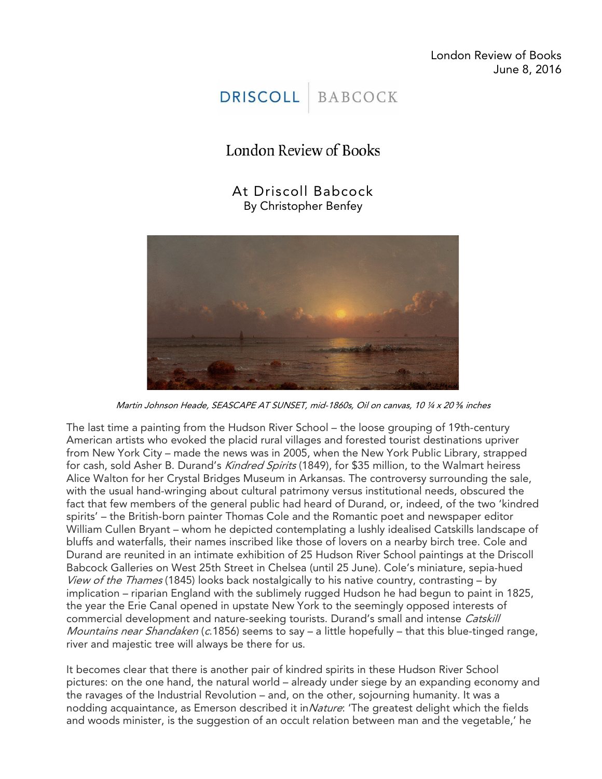London Review of Books June 8, 2016



## London Review of Books

At Driscoll Babcock By Christopher Benfey



Martin Johnson Heade, SEASCAPE AT SUNSET, mid-1860s, Oil on canvas, 10 ¼ x 20 *⅜* inches

The last time a painting from the Hudson River School – the loose grouping of 19th-century American artists who evoked the placid rural villages and forested tourist destinations upriver from New York City – made the news was in 2005, when the New York Public Library, strapped for cash, sold Asher B. Durand's Kindred Spirits (1849), for \$35 million, to the Walmart heiress Alice Walton for her Crystal Bridges Museum in Arkansas. The controversy surrounding the sale, with the usual hand-wringing about cultural patrimony versus institutional needs, obscured the fact that few members of the general public had heard of Durand, or, indeed, of the two 'kindred spirits' – the British-born painter Thomas Cole and the Romantic poet and newspaper editor William Cullen Bryant – whom he depicted contemplating a lushly idealised Catskills landscape of bluffs and waterfalls, their names inscribed like those of lovers on a nearby birch tree. Cole and Durand are reunited in an intimate exhibition of 25 Hudson River School paintings at the Driscoll Babcock Galleries on West 25th Street in Chelsea (until 25 June). Cole's miniature, sepia-hued View of the Thames (1845) looks back nostalgically to his native country, contrasting  $-$  by implication – riparian England with the sublimely rugged Hudson he had begun to paint in 1825, the year the Erie Canal opened in upstate New York to the seemingly opposed interests of commercial development and nature-seeking tourists. Durand's small and intense Catskill *Mountains near Shandaken* (c.1856) seems to say – a little hopefully – that this blue-tinged range, river and majestic tree will always be there for us.

It becomes clear that there is another pair of kindred spirits in these Hudson River School pictures: on the one hand, the natural world – already under siege by an expanding economy and the ravages of the Industrial Revolution – and, on the other, sojourning humanity. It was a nodding acquaintance, as Emerson described it in *Nature*: 'The greatest delight which the fields and woods minister, is the suggestion of an occult relation between man and the vegetable,' he